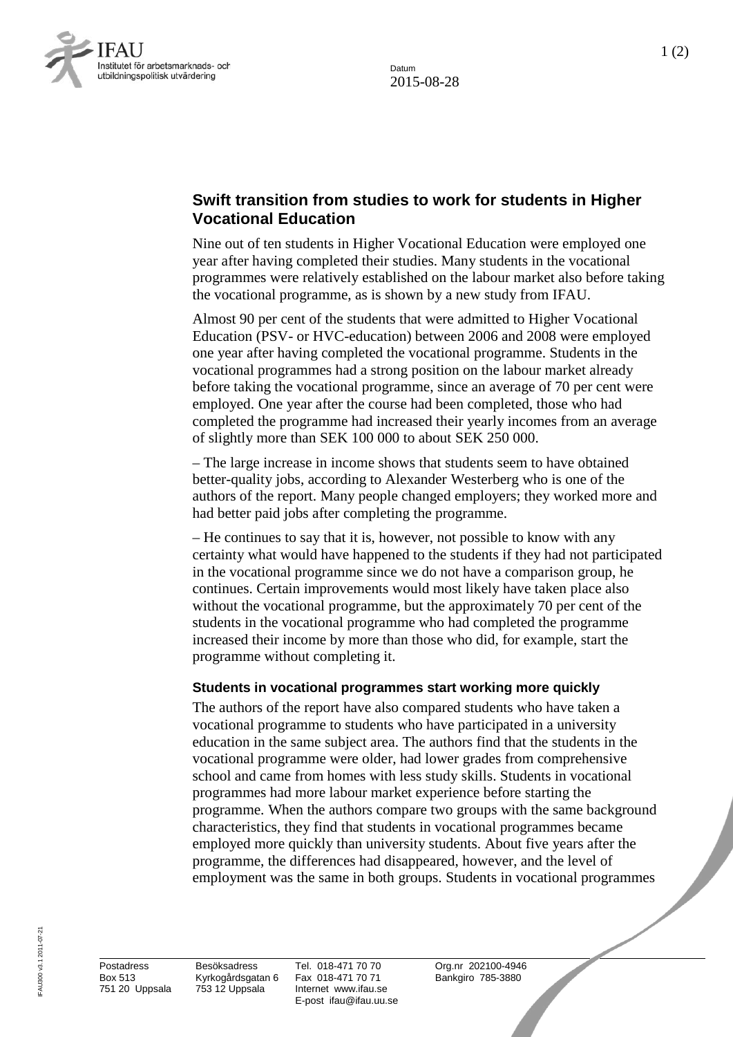Datum 2015-08-28



## **Swift transition from studies to work for students in Higher Vocational Education**

Nine out of ten students in Higher Vocational Education were employed one year after having completed their studies. Many students in the vocational programmes were relatively established on the labour market also before taking the vocational programme, as is shown by a new study from IFAU.

Almost 90 per cent of the students that were admitted to Higher Vocational Education (PSV- or HVC-education) between 2006 and 2008 were employed one year after having completed the vocational programme. Students in the vocational programmes had a strong position on the labour market already before taking the vocational programme, since an average of 70 per cent were employed. One year after the course had been completed, those who had completed the programme had increased their yearly incomes from an average of slightly more than SEK 100 000 to about SEK 250 000.

– The large increase in income shows that students seem to have obtained better-quality jobs, according to Alexander Westerberg who is one of the authors of the report. Many people changed employers; they worked more and had better paid jobs after completing the programme.

– He continues to say that it is, however, not possible to know with any certainty what would have happened to the students if they had not participated in the vocational programme since we do not have a comparison group, he continues. Certain improvements would most likely have taken place also without the vocational programme, but the approximately 70 per cent of the students in the vocational programme who had completed the programme increased their income by more than those who did, for example, start the programme without completing it.

## **Students in vocational programmes start working more quickly**

The authors of the report have also compared students who have taken a vocational programme to students who have participated in a university education in the same subject area. The authors find that the students in the vocational programme were older, had lower grades from comprehensive school and came from homes with less study skills. Students in vocational programmes had more labour market experience before starting the programme. When the authors compare two groups with the same background characteristics, they find that students in vocational programmes became employed more quickly than university students. About five years after the programme, the differences had disappeared, however, and the level of employment was the same in both groups. Students in vocational programmes